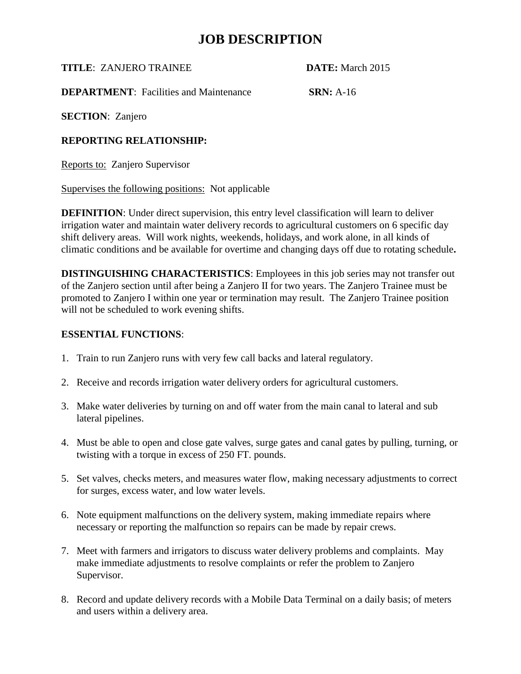**TITLE**: ZANJERO TRAINEE **DATE:** March 2015

**DEPARTMENT:** Facilities and Maintenance **SRN:** A-16

**SECTION**: Zanjero

#### **REPORTING RELATIONSHIP:**

Reports to: Zanjero Supervisor

Supervises the following positions: Not applicable

**DEFINITION**: Under direct supervision, this entry level classification will learn to deliver irrigation water and maintain water delivery records to agricultural customers on 6 specific day shift delivery areas. Will work nights, weekends, holidays, and work alone, in all kinds of climatic conditions and be available for overtime and changing days off due to rotating schedule**.**

**DISTINGUISHING CHARACTERISTICS**: Employees in this job series may not transfer out of the Zanjero section until after being a Zanjero II for two years. The Zanjero Trainee must be promoted to Zanjero I within one year or termination may result. The Zanjero Trainee position will not be scheduled to work evening shifts.

#### **ESSENTIAL FUNCTIONS**:

- 1. Train to run Zanjero runs with very few call backs and lateral regulatory.
- 2. Receive and records irrigation water delivery orders for agricultural customers.
- 3. Make water deliveries by turning on and off water from the main canal to lateral and sub lateral pipelines.
- 4. Must be able to open and close gate valves, surge gates and canal gates by pulling, turning, or twisting with a torque in excess of 250 FT. pounds.
- 5. Set valves, checks meters, and measures water flow, making necessary adjustments to correct for surges, excess water, and low water levels.
- 6. Note equipment malfunctions on the delivery system, making immediate repairs where necessary or reporting the malfunction so repairs can be made by repair crews.
- 7. Meet with farmers and irrigators to discuss water delivery problems and complaints. May make immediate adjustments to resolve complaints or refer the problem to Zanjero Supervisor.
- 8. Record and update delivery records with a Mobile Data Terminal on a daily basis; of meters and users within a delivery area.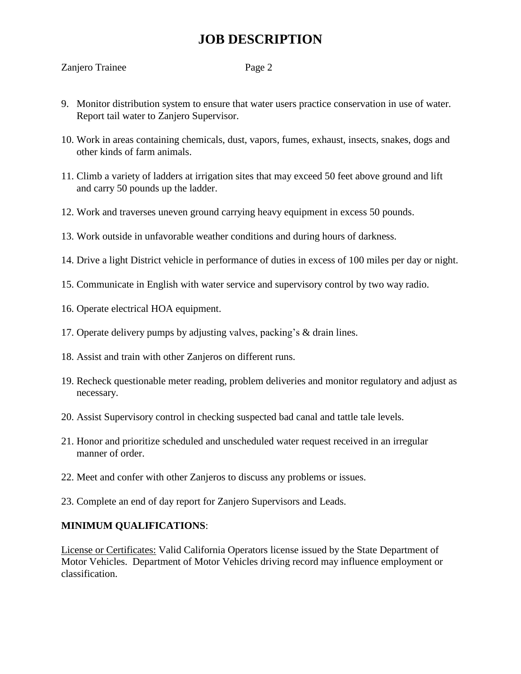- 9. Monitor distribution system to ensure that water users practice conservation in use of water. Report tail water to Zanjero Supervisor.
- 10. Work in areas containing chemicals, dust, vapors, fumes, exhaust, insects, snakes, dogs and other kinds of farm animals.
- 11. Climb a variety of ladders at irrigation sites that may exceed 50 feet above ground and lift and carry 50 pounds up the ladder.
- 12. Work and traverses uneven ground carrying heavy equipment in excess 50 pounds.
- 13. Work outside in unfavorable weather conditions and during hours of darkness.
- 14. Drive a light District vehicle in performance of duties in excess of 100 miles per day or night.
- 15. Communicate in English with water service and supervisory control by two way radio.
- 16. Operate electrical HOA equipment.
- 17. Operate delivery pumps by adjusting valves, packing's & drain lines.
- 18. Assist and train with other Zanjeros on different runs.
- 19. Recheck questionable meter reading, problem deliveries and monitor regulatory and adjust as necessary.
- 20. Assist Supervisory control in checking suspected bad canal and tattle tale levels.
- 21. Honor and prioritize scheduled and unscheduled water request received in an irregular manner of order.
- 22. Meet and confer with other Zanjeros to discuss any problems or issues.
- 23. Complete an end of day report for Zanjero Supervisors and Leads.

#### **MINIMUM QUALIFICATIONS**:

License or Certificates: Valid California Operators license issued by the State Department of Motor Vehicles. Department of Motor Vehicles driving record may influence employment or classification.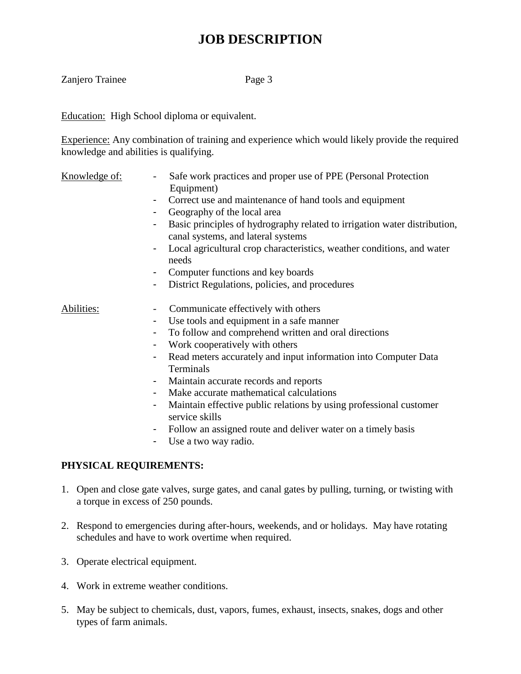Zanjero Trainee Page 3

Education: High School diploma or equivalent.

Experience: Any combination of training and experience which would likely provide the required knowledge and abilities is qualifying.

- Knowledge of: Safe work practices and proper use of PPE (Personal Protection Equipment)
	- Correct use and maintenance of hand tools and equipment
	- Geography of the local area
	- Basic principles of hydrography related to irrigation water distribution, canal systems, and lateral systems
	- Local agricultural crop characteristics, weather conditions, and water needs
	- Computer functions and key boards
	- District Regulations, policies, and procedures

### Abilities: Communicate effectively with others

- Use tools and equipment in a safe manner
- To follow and comprehend written and oral directions
- Work cooperatively with others
- Read meters accurately and input information into Computer Data Terminals
- Maintain accurate records and reports
- Make accurate mathematical calculations
- Maintain effective public relations by using professional customer service skills
- Follow an assigned route and deliver water on a timely basis
- Use a two way radio.

### **PHYSICAL REQUIREMENTS:**

- 1. Open and close gate valves, surge gates, and canal gates by pulling, turning, or twisting with a torque in excess of 250 pounds.
- 2. Respond to emergencies during after-hours, weekends, and or holidays. May have rotating schedules and have to work overtime when required.
- 3. Operate electrical equipment.
- 4. Work in extreme weather conditions.
- 5. May be subject to chemicals, dust, vapors, fumes, exhaust, insects, snakes, dogs and other types of farm animals.